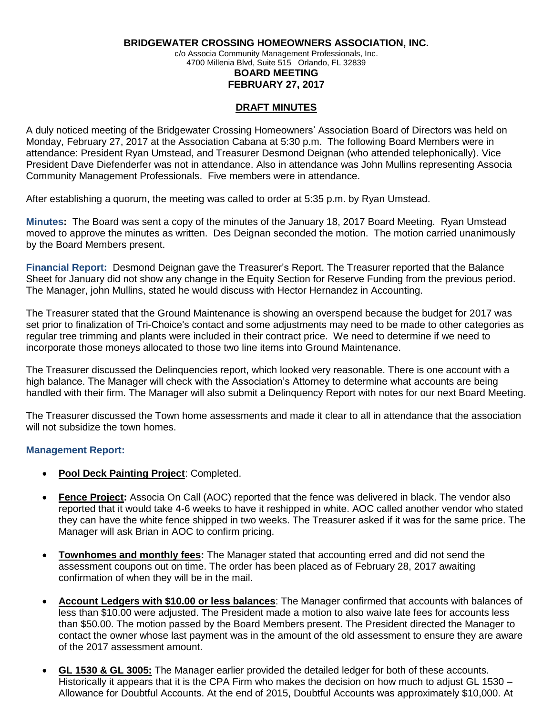**BRIDGEWATER CROSSING HOMEOWNERS ASSOCIATION, INC.**

c/o Associa Community Management Professionals, Inc. 4700 Millenia Blvd, Suite 515 Orlando, FL 32839

## **BOARD MEETING FEBRUARY 27, 2017**

## **DRAFT MINUTES**

A duly noticed meeting of the Bridgewater Crossing Homeowners' Association Board of Directors was held on Monday, February 27, 2017 at the Association Cabana at 5:30 p.m. The following Board Members were in attendance: President Ryan Umstead, and Treasurer Desmond Deignan (who attended telephonically). Vice President Dave Diefenderfer was not in attendance. Also in attendance was John Mullins representing Associa Community Management Professionals. Five members were in attendance.

After establishing a quorum, the meeting was called to order at 5:35 p.m. by Ryan Umstead.

**Minutes:** The Board was sent a copy of the minutes of the January 18, 2017 Board Meeting. Ryan Umstead moved to approve the minutes as written. Des Deignan seconded the motion. The motion carried unanimously by the Board Members present.

**Financial Report:** Desmond Deignan gave the Treasurer's Report. The Treasurer reported that the Balance Sheet for January did not show any change in the Equity Section for Reserve Funding from the previous period. The Manager, john Mullins, stated he would discuss with Hector Hernandez in Accounting.

The Treasurer stated that the Ground Maintenance is showing an overspend because the budget for 2017 was set prior to finalization of Tri-Choice's contact and some adjustments may need to be made to other categories as regular tree trimming and plants were included in their contract price. We need to determine if we need to incorporate those moneys allocated to those two line items into Ground Maintenance.

The Treasurer discussed the Delinquencies report, which looked very reasonable. There is one account with a high balance. The Manager will check with the Association's Attorney to determine what accounts are being handled with their firm. The Manager will also submit a Delinquency Report with notes for our next Board Meeting.

The Treasurer discussed the Town home assessments and made it clear to all in attendance that the association will not subsidize the town homes.

## **Management Report:**

- **Pool Deck Painting Project**: Completed.
- **Fence Project:** Associa On Call (AOC) reported that the fence was delivered in black. The vendor also reported that it would take 4-6 weeks to have it reshipped in white. AOC called another vendor who stated they can have the white fence shipped in two weeks. The Treasurer asked if it was for the same price. The Manager will ask Brian in AOC to confirm pricing.
- **Townhomes and monthly fees:** The Manager stated that accounting erred and did not send the assessment coupons out on time. The order has been placed as of February 28, 2017 awaiting confirmation of when they will be in the mail.
- **Account Ledgers with \$10.00 or less balances**: The Manager confirmed that accounts with balances of less than \$10.00 were adjusted. The President made a motion to also waive late fees for accounts less than \$50.00. The motion passed by the Board Members present. The President directed the Manager to contact the owner whose last payment was in the amount of the old assessment to ensure they are aware of the 2017 assessment amount.
- **GL 1530 & GL 3005:** The Manager earlier provided the detailed ledger for both of these accounts. Historically it appears that it is the CPA Firm who makes the decision on how much to adjust GL 1530 – Allowance for Doubtful Accounts. At the end of 2015, Doubtful Accounts was approximately \$10,000. At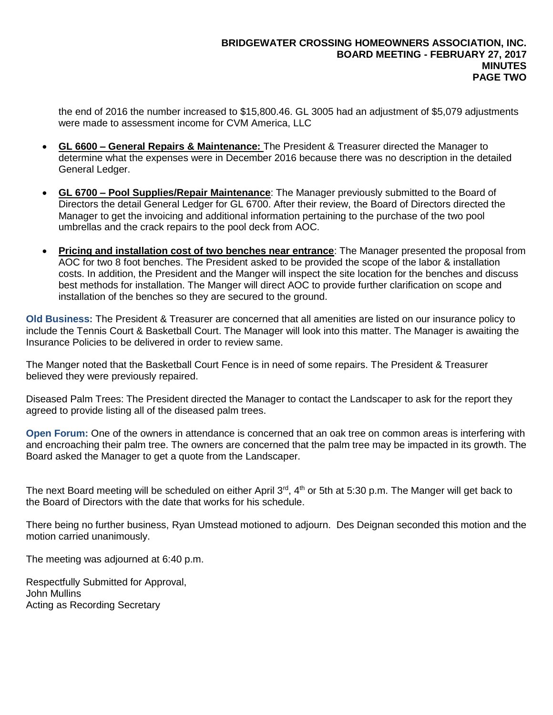the end of 2016 the number increased to \$15,800.46. GL 3005 had an adjustment of \$5,079 adjustments were made to assessment income for CVM America, LLC

- **GL 6600 – General Repairs & Maintenance:** The President & Treasurer directed the Manager to determine what the expenses were in December 2016 because there was no description in the detailed General Ledger.
- **GL 6700 – Pool Supplies/Repair Maintenance**: The Manager previously submitted to the Board of Directors the detail General Ledger for GL 6700. After their review, the Board of Directors directed the Manager to get the invoicing and additional information pertaining to the purchase of the two pool umbrellas and the crack repairs to the pool deck from AOC.
- **Pricing and installation cost of two benches near entrance**: The Manager presented the proposal from AOC for two 8 foot benches. The President asked to be provided the scope of the labor & installation costs. In addition, the President and the Manger will inspect the site location for the benches and discuss best methods for installation. The Manger will direct AOC to provide further clarification on scope and installation of the benches so they are secured to the ground.

**Old Business:** The President & Treasurer are concerned that all amenities are listed on our insurance policy to include the Tennis Court & Basketball Court. The Manager will look into this matter. The Manager is awaiting the Insurance Policies to be delivered in order to review same.

The Manger noted that the Basketball Court Fence is in need of some repairs. The President & Treasurer believed they were previously repaired.

Diseased Palm Trees: The President directed the Manager to contact the Landscaper to ask for the report they agreed to provide listing all of the diseased palm trees.

**Open Forum:** One of the owners in attendance is concerned that an oak tree on common areas is interfering with and encroaching their palm tree. The owners are concerned that the palm tree may be impacted in its growth. The Board asked the Manager to get a quote from the Landscaper.

The next Board meeting will be scheduled on either April 3<sup>rd</sup>, 4<sup>th</sup> or 5th at 5:30 p.m. The Manger will get back to the Board of Directors with the date that works for his schedule.

There being no further business, Ryan Umstead motioned to adjourn. Des Deignan seconded this motion and the motion carried unanimously.

The meeting was adjourned at 6:40 p.m.

Respectfully Submitted for Approval, John Mullins Acting as Recording Secretary